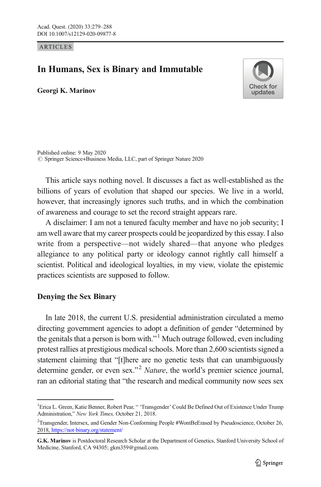ARTICLES

# In Humans, Sex is Binary and Immutable

Georgi K. Marinov



© Springer Science+Business Media, LLC, part of Springer Nature 2020 Published online: 9 May 2020

This article says nothing novel. It discusses a fact as well-established as the billions of years of evolution that shaped our species. We live in a world, however, that increasingly ignores such truths, and in which the combination of awareness and courage to set the record straight appears rare.

A disclaimer: I am not a tenured faculty member and have no job security; I am well aware that my career prospects could be jeopardized by this essay. I also write from a perspective—not widely shared—that anyone who pledges allegiance to any political party or ideology cannot rightly call himself a scientist. Political and ideological loyalties, in my view, violate the epistemic practices scientists are supposed to follow.

## Denying the Sex Binary

In late 2018, the current U.S. presidential administration circulated a memo directing government agencies to adopt a definition of gender "determined by the genitals that a person is born with."<sup>1</sup> Much outrage followed, even including protest rallies at prestigious medical schools. More than 2,600 scientists signed a statement claiming that "[t]here are no genetic tests that can unambiguously determine gender, or even sex."<sup>2</sup> Nature, the world's premier science journal, ran an editorial stating that "the research and medical community now sees sex

<sup>&</sup>lt;sup>1</sup> Erica L. Green, Katie Benner, Robert Pear, " 'Transgender' Could Be Defined Out of Existence Under Trump Administration," New York Times, October 21, 2018.

<sup>&</sup>lt;sup>2</sup>Transgender, Intersex, and Gender Non-Conforming People #WontBeErased by Pseudoscience, October 26, 2018, [https://not-binary.org/statement/](http://dx.doi.org/https://not-binary.org/statement/)

G.K. Marinov is Postdoctoral Research Scholar at the Department of Genetics, Stanford University School of Medicine, Stanford, CA 94305; gkm359@gmail.com.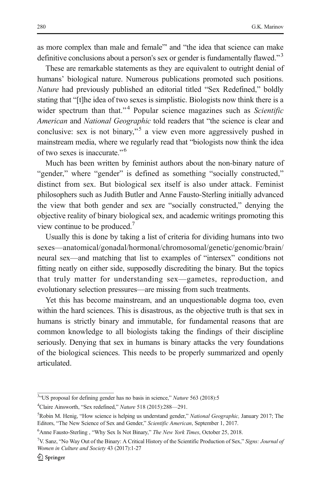as more complex than male and female"' and "the idea that science can make definitive conclusions about a person's sex or gender is fundamentally flawed."<sup>3</sup>

These are remarkable statements as they are equivalent to outright denial of humans' biological nature. Numerous publications promoted such positions. Nature had previously published an editorial titled "Sex Redefined," boldly stating that "[t]he idea of two sexes is simplistic. Biologists now think there is a wider spectrum than that."<sup>4</sup> Popular science magazines such as *Scientific* American and National Geographic told readers that "the science is clear and conclusive: sex is not binary,"<sup>5</sup> a view even more aggressively pushed in mainstream media, where we regularly read that "biologists now think the idea of two sexes is inaccurate."<sup>6</sup>

Much has been written by feminist authors about the non-binary nature of "gender," where "gender" is defined as something "socially constructed," distinct from sex. But biological sex itself is also under attack. Feminist philosophers such as Judith Butler and Anne Fausto-Sterling initially advanced the view that both gender and sex are "socially constructed," denying the objective reality of binary biological sex, and academic writings promoting this view continue to be produced.7

Usually this is done by taking a list of criteria for dividing humans into two sexes—anatomical/gonadal/hormonal/chromosomal/genetic/genomic/brain/ neural sex—and matching that list to examples of "intersex" conditions not fitting neatly on either side, supposedly discrediting the binary. But the topics that truly matter for understanding sex—gametes, reproduction, and evolutionary selection pressures—are missing from such treatments.

Yet this has become mainstream, and an unquestionable dogma too, even within the hard sciences. This is disastrous, as the objective truth is that sex in humans is strictly binary and immutable, for fundamental reasons that are common knowledge to all biologists taking the findings of their discipline seriously. Denying that sex in humans is binary attacks the very foundations of the biological sciences. This needs to be properly summarized and openly articulated.

<sup>&</sup>lt;sup>3</sup>"US proposal for defining gender has no basis in science," Nature 563 (2018):5

<sup>4</sup> Claire Ainsworth, "Sex redefined," Nature 518 (2015):288—291.

<sup>&</sup>lt;sup>5</sup>Robin M. Henig, "How science is helping us understand gender," National Geographic, January 2017; The Editors, "The New Science of Sex and Gender," Scientific American, September 1, 2017.

<sup>&</sup>lt;sup>6</sup> Anne Fausto-Sterling, "Why Sex Is Not Binary," The New York Times, October 25, 2018.

<sup>&</sup>lt;sup>7</sup>V. Sanz, "No Way Out of the Binary: A Critical History of the Scientific Production of Sex," Signs: Journal of Women in Culture and Society 43 (2017):1-27

 $\mathcal{L}$  Springer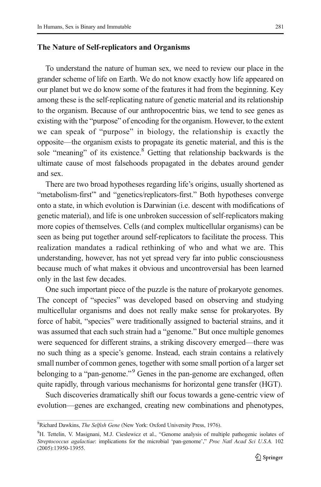#### The Nature of Self-replicators and Organisms

To understand the nature of human sex, we need to review our place in the grander scheme of life on Earth. We do not know exactly how life appeared on our planet but we do know some of the features it had from the beginning. Key among these is the self-replicating nature of genetic material and its relationship to the organism. Because of our anthropocentric bias, we tend to see genes as existing with the "purpose" of encoding for the organism. However, to the extent we can speak of "purpose" in biology, the relationship is exactly the opposite—the organism exists to propagate its genetic material, and this is the sole "meaning" of its existence.<sup>8</sup> Getting that relationship backwards is the ultimate cause of most falsehoods propagated in the debates around gender and sex.

There are two broad hypotheses regarding life's origins, usually shortened as "metabolism-first"' and "genetics/replicators-first." Both hypotheses converge onto a state, in which evolution is Darwinian (i.e. descent with modifications of genetic material), and life is one unbroken succession of self-replicators making more copies of themselves. Cells (and complex multicellular organisms) can be seen as being put together around self-replicators to facilitate the process. This realization mandates a radical rethinking of who and what we are. This understanding, however, has not yet spread very far into public consciousness because much of what makes it obvious and uncontroversial has been learned only in the last few decades.

One such important piece of the puzzle is the nature of prokaryote genomes. The concept of "species" was developed based on observing and studying multicellular organisms and does not really make sense for prokaryotes. By force of habit, "species" were traditionally assigned to bacterial strains, and it was assumed that each such strain had a "genome." But once multiple genomes were sequenced for different strains, a striking discovery emerged—there was no such thing as a specie's genome. Instead, each strain contains a relatively small number of common genes, together with some small portion of a larger set belonging to a "pan-genome."<sup>9</sup> Genes in the pan-genome are exchanged, often quite rapidly, through various mechanisms for horizontal gene transfer (HGT).

Such discoveries dramatically shift our focus towards a gene-centric view of evolution—genes are exchanged, creating new combinations and phenotypes,

<sup>&</sup>lt;sup>8</sup>Richard Dawkins, The Selfish Gene (New York: Oxford University Press, 1976).

<sup>&</sup>lt;sup>9</sup>H. Tettelin, V. Masignani, M.J. Cieslewicz et al., "Genome analysis of multiple pathogenic isolates of Streptococcus agalactiae: implications for the microbial 'pan-genome'," Proc Natl Acad Sci U.S.A. 102 (2005):13950-13955.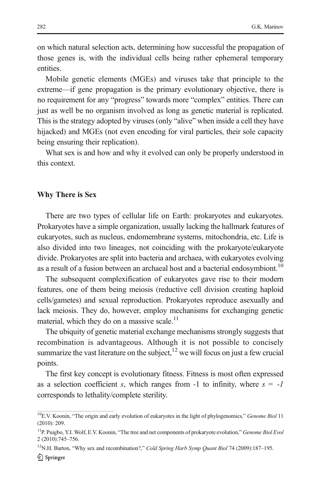on which natural selection acts, determining how successful the propagation of those genes is, with the individual cells being rather ephemeral temporary entities.

Mobile genetic elements (MGEs) and viruses take that principle to the extreme—if gene propagation is the primary evolutionary objective, there is no requirement for any "progress" towards more "complex" entities. There can just as well be no organism involved as long as genetic material is replicated. This is the strategy adopted by viruses (only "alive" when inside a cell they have hijacked) and MGEs (not even encoding for viral particles, their sole capacity being ensuring their replication).

What sex is and how and why it evolved can only be properly understood in this context.

#### Why There is Sex

There are two types of cellular life on Earth: prokaryotes and eukaryotes. Prokaryotes have a simple organization, usually lacking the hallmark features of eukaryotes, such as nucleus, endomembrane systems, mitochondria, etc. Life is also divided into two lineages, not coinciding with the prokaryote/eukaryote divide. Prokaryotes are split into bacteria and archaea, with eukaryotes evolving as a result of a fusion between an archaeal host and a bacterial endosymbiont.<sup>10</sup>

The subsequent complexification of eukaryotes gave rise to their modern features, one of them being meiosis (reductive cell division creating haploid cells/gametes) and sexual reproduction. Prokaryotes reproduce asexually and lack meiosis. They do, however, employ mechanisms for exchanging genetic material, which they do on a massive scale. $^{11}$ 

The ubiquity of genetic material exchange mechanisms strongly suggests that recombination is advantageous. Although it is not possible to concisely summarize the vast literature on the subject, $12$  we will focus on just a few crucial points.

The first key concept is evolutionary fitness. Fitness is most often expressed as a selection coefficient s, which ranges from  $-1$  to infinity, where  $s = -1$ corresponds to lethality/complete sterility.

<sup>&</sup>lt;sup>10</sup>E.V. Koonin, "The origin and early evolution of eukaryotes in the light of phylogenomics," Genome Biol 11 (2010): 209.

<sup>&</sup>lt;sup>11</sup>P. Puigbo, Y.I. Wolf, E.V. Koonin, "The tree and net components of prokaryote evolution," Genome Biol Evol 2 (2010):745–756.

<sup>&</sup>lt;sup>12</sup>N.H. Barton, "Why sex and recombination?," Cold Spring Harb Symp Quant Biol 74 (2009):187-195.  $\mathcal{L}$  Springer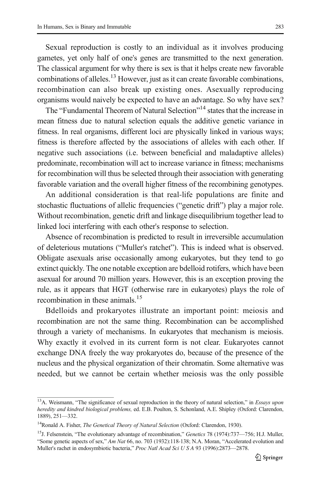Sexual reproduction is costly to an individual as it involves producing gametes, yet only half of one's genes are transmitted to the next generation. The classical argument for why there is sex is that it helps create new favorable combinations of alleles.<sup>13</sup> However, just as it can create favorable combinations, recombination can also break up existing ones. Asexually reproducing organisms would naively be expected to have an advantage. So why have sex?

The "Fundamental Theorem of Natural Selection"<sup>14</sup> states that the increase in mean fitness due to natural selection equals the additive genetic variance in fitness. In real organisms, different loci are physically linked in various ways; fitness is therefore affected by the associations of alleles with each other. If negative such associations (i.e. between beneficial and maladaptive alleles) predominate, recombination will act to increase variance in fitness; mechanisms for recombination will thus be selected through their association with generating favorable variation and the overall higher fitness of the recombining genotypes.

An additional consideration is that real-life populations are finite and stochastic fluctuations of allelic frequencies ("genetic drift") play a major role. Without recombination, genetic drift and linkage disequilibrium together lead to linked loci interfering with each other's response to selection.

Absence of recombination is predicted to result in irreversible accumulation of deleterious mutations ("Muller's ratchet"). This is indeed what is observed. Obligate asexuals arise occasionally among eukaryotes, but they tend to go extinct quickly. The one notable exception are bdelloid rotifers, which have been asexual for around 70 million years. However, this is an exception proving the rule, as it appears that HGT (otherwise rare in eukaryotes) plays the role of recombination in these animals.<sup>15</sup>

Bdelloids and prokaryotes illustrate an important point: meiosis and recombination are not the same thing. Recombination can be accomplished through a variety of mechanisms. In eukaryotes that mechanism is meiosis. Why exactly it evolved in its current form is not clear. Eukaryotes cannot exchange DNA freely the way prokaryotes do, because of the presence of the nucleus and the physical organization of their chromatin. Some alternative was needed, but we cannot be certain whether meiosis was the only possible

<sup>&</sup>lt;sup>13</sup>A. Weismann, "The significance of sexual reproduction in the theory of natural selection," in *Essays upon* heredity and kindred biological problems, ed. E.B. Poulton, S. Schonland, A.E. Shipley (Oxford: Clarendon, 1889), 251—332.

 $14$ Ronald A. Fisher, *The Genetical Theory of Natural Selection* (Oxford: Clarendon, 1930).

<sup>&</sup>lt;sup>15</sup>J. Felsenstein, "The evolutionary advantage of recombination," *Genetics* 78 (1974):737—756; H.J. Muller, "Some genetic aspects of sex," Am Nat 66, no. 703 (1932):118-138; N.A. Moran, "Accelerated evolution and Muller's rachet in endosymbiotic bacteria," Proc Natl Acad Sci U S A 93 (1996):2873—2878.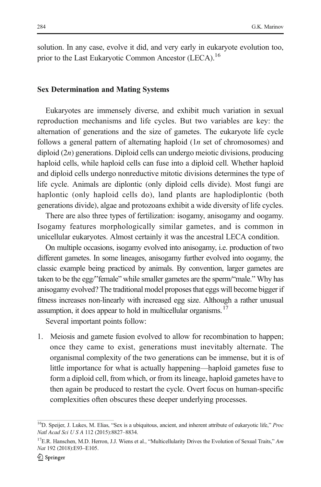solution. In any case, evolve it did, and very early in eukaryote evolution too, prior to the Last Eukaryotic Common Ancestor (LECA).<sup>16</sup>

#### Sex Determination and Mating Systems

Eukaryotes are immensely diverse, and exhibit much variation in sexual reproduction mechanisms and life cycles. But two variables are key: the alternation of generations and the size of gametes. The eukaryote life cycle follows a general pattern of alternating haploid  $(n$  set of chromosomes) and diploid (2n) generations. Diploid cells can undergo meiotic divisions, producing haploid cells, while haploid cells can fuse into a diploid cell. Whether haploid and diploid cells undergo nonreductive mitotic divisions determines the type of life cycle. Animals are diplontic (only diploid cells divide). Most fungi are haplontic (only haploid cells do), land plants are haplodiplontic (both generations divide), algae and protozoans exhibit a wide diversity of life cycles.

There are also three types of fertilization: isogamy, anisogamy and oogamy. Isogamy features morphologically similar gametes, and is common in unicellular eukaryotes. Almost certainly it was the ancestral LECA condition.

On multiple occasions, isogamy evolved into anisogamy, i.e. production of two different gametes. In some lineages, anisogamy further evolved into oogamy, the classic example being practiced by animals. By convention, larger gametes are taken to be the egg/"female" while smaller gametes are the sperm/"male." Why has anisogamy evolved? The traditional model proposes that eggs will become bigger if fitness increases non-linearly with increased egg size. Although a rather unusual assumption, it does appear to hold in multicellular organisms.<sup>17</sup>

Several important points follow:

1. Meiosis and gamete fusion evolved to allow for recombination to happen; once they came to exist, generations must inevitably alternate. The organismal complexity of the two generations can be immense, but it is of little importance for what is actually happening—haploid gametes fuse to form a diploid cell, from which, or from its lineage, haploid gametes have to then again be produced to restart the cycle. Overt focus on human-specific complexities often obscures these deeper underlying processes.

 $16$ D. Speijer, J. Lukes, M. Elias, "Sex is a ubiquitous, ancient, and inherent attribute of eukaryotic life," Proc Natl Acad Sci U S A 112 (2015):8827–8834.

<sup>&</sup>lt;sup>17</sup>E.R. Hanschen, M.D. Herron, J.J. Wiens et al., "Multicellularity Drives the Evolution of Sexual Traits," Am Nat 192 (2018):E93–E105.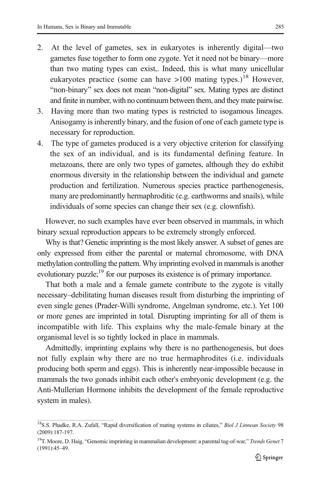- 2. At the level of gametes, sex in eukaryotes is inherently digital—two gametes fuse together to form one zygote. Yet it need not be binary—more than two mating types can exist,. Indeed, this is what many unicellular eukaryotes practice (some can have  $>100$  mating types.)<sup>18</sup> However, "non-binary" sex does not mean "non-digital" sex. Mating types are distinct and finite in number, with no continuum between them, and they mate pairwise.
- 3. Having more than two mating types is restricted to isogamous lineages. Anisogamy is inherently binary, and the fusion of one of each gamete type is necessary for reproduction.
- 4. The type of gametes produced is a very objective criterion for classifying the sex of an individual, and is its fundamental defining feature. In metazoans, there are only two types of gametes, although they do exhibit enormous diversity in the relationship between the individual and gamete production and fertilization. Numerous species practice parthenogenesis, many are predominantly hermaphroditic (e.g. earthworms and snails), while individuals of some species can change their sex (e.g. clownfish).

However, no such examples have ever been observed in mammals, in which binary sexual reproduction appears to be extremely strongly enforced.

Why is that? Genetic imprinting is the most likely answer. A subset of genes are only expressed from either the parental or maternal chromosome, with DNA methylation controlling the pattern. Why imprinting evolved in mammals is another evolutionary puzzle; $^{19}$  for our purposes its existence is of primary importance.

That both a male and a female gamete contribute to the zygote is vitally necessary–debilitating human diseases result from disturbing the imprinting of even single genes (Prader-Willi syndrome, Angelman syndrome, etc.). Yet 100 or more genes are imprinted in total. Disrupting imprinting for all of them is incompatible with life. This explains why the male-female binary at the organismal level is so tightly locked in place in mammals.

Admittedly, imprinting explains why there is no parthenogenesis, but does not fully explain why there are no true hermaphrodites (i.e. individuals producing both sperm and eggs). This is inherently near-impossible because in mammals the two gonads inhibit each other's embryonic development (e.g. the Anti-Mullerian Hormone inhibits the development of the female reproductive system in males).

<sup>&</sup>lt;sup>18</sup>S.S. Phadke, R.A. Zufall, "Rapid diversification of mating systems in ciliates," Biol J Linnean Society 98 (2009):187-197.

<sup>&</sup>lt;sup>19</sup>T. Moore, D. Haig, "Genomic imprinting in mammalian development: a parental tug-of-war," Trends Genet 7 (1991):45–49.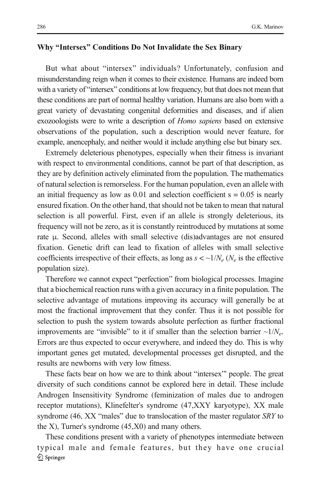### Why "Intersex" Conditions Do Not Invalidate the Sex Binary

But what about "intersex" individuals? Unfortunately, confusion and misunderstanding reign when it comes to their existence. Humans are indeed born with a variety of "intersex" conditions at low frequency, but that does not mean that these conditions are part of normal healthy variation. Humans are also born with a great variety of devastating congenital deformities and diseases, and if alien exozoologists were to write a description of Homo sapiens based on extensive observations of the population, such a description would never feature, for example, anencephaly, and neither would it include anything else but binary sex.

Extremely deleterious phenotypes, especially when their fitness is invariant with respect to environmental conditions, cannot be part of that description, as they are by definition actively eliminated from the population. The mathematics of natural selection is remorseless. For the human population, even an allele with an initial frequency as low as  $0.01$  and selection coefficient  $s = 0.05$  is nearly ensured fixation. On the other hand, that should not be taken to mean that natural selection is all powerful. First, even if an allele is strongly deleterious, its frequency will not be zero, as it is constantly reintroduced by mutations at some rate μ. Second, alleles with small selective (dis)advantages are not ensured fixation. Genetic drift can lead to fixation of alleles with small selective coefficients irrespective of their effects, as long as  $s \lt \frac{1}{N_e}$  ( $N_e$  is the effective population size).

Therefore we cannot expect "perfection" from biological processes. Imagine that a biochemical reaction runs with a given accuracy in a finite population. The selective advantage of mutations improving its accuracy will generally be at most the fractional improvement that they confer. Thus it is not possible for selection to push the system towards absolute perfection as further fractional improvements are "invisible" to it if smaller than the selection barrier  $\sim 1/N_e$ . Errors are thus expected to occur everywhere, and indeed they do. This is why important genes get mutated, developmental processes get disrupted, and the results are newborns with very low fitness.

These facts bear on how we are to think about "intersex"' people. The great diversity of such conditions cannot be explored here in detail. These include Androgen Insensitivity Syndrome (feminization of males due to androgen receptor mutations), Klinefelter's syndrome (47,XXY karyotype), XX male syndrome (46, XX "males" due to translocation of the master regulator SRY to the X), Turner's syndrome (45,X0) and many others.

These conditions present with a variety of phenotypes intermediate between typical male and female features, but they have one crucial 2 Springer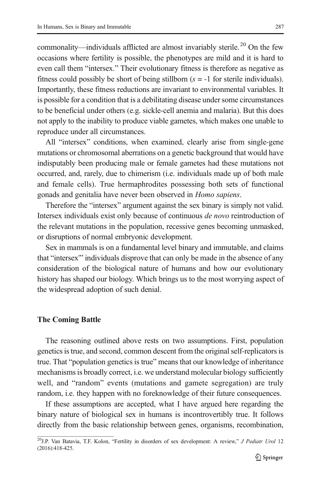commonality—individuals afflicted are almost invariably sterile.<sup>20</sup> On the few occasions where fertility is possible, the phenotypes are mild and it is hard to even call them "intersex." Their evolutionary fitness is therefore as negative as fitness could possibly be short of being stillborn  $(s = -1)$  for sterile individuals). Importantly, these fitness reductions are invariant to environmental variables. It is possible for a condition that is a debilitating disease under some circumstances to be beneficial under others (e.g. sickle-cell anemia and malaria). But this does not apply to the inability to produce viable gametes, which makes one unable to reproduce under all circumstances.

All "intersex" conditions, when examined, clearly arise from single-gene mutations or chromosomal aberrations on a genetic background that would have indisputably been producing male or female gametes had these mutations not occurred, and, rarely, due to chimerism (i.e. individuals made up of both male and female cells). True hermaphrodites possessing both sets of functional gonads and genitalia have never been observed in Homo sapiens.

Therefore the "intersex" argument against the sex binary is simply not valid. Intersex individuals exist only because of continuous de novo reintroduction of the relevant mutations in the population, recessive genes becoming unmasked, or disruptions of normal embryonic development.

Sex in mammals is on a fundamental level binary and immutable, and claims that "intersex'" individuals disprove that can only be made in the absence of any consideration of the biological nature of humans and how our evolutionary history has shaped our biology. Which brings us to the most worrying aspect of the widespread adoption of such denial.

#### The Coming Battle

The reasoning outlined above rests on two assumptions. First, population genetics is true, and second, common descent from the original self-replicators is true. That "population genetics is true" means that our knowledge of inheritance mechanisms is broadly correct, i.e. we understand molecular biology sufficiently well, and "random" events (mutations and gamete segregation) are truly random, i.e. they happen with no foreknowledge of their future consequences.

If these assumptions are accepted, what I have argued here regarding the binary nature of biological sex in humans is incontrovertibly true. It follows directly from the basic relationship between genes, organisms, recombination,

<sup>&</sup>lt;sup>20</sup>J.P. Van Batavia, T.F. Kolon, "Fertility in disorders of sex development: A review," J Pediatr Urol 12 (2016):418-425.